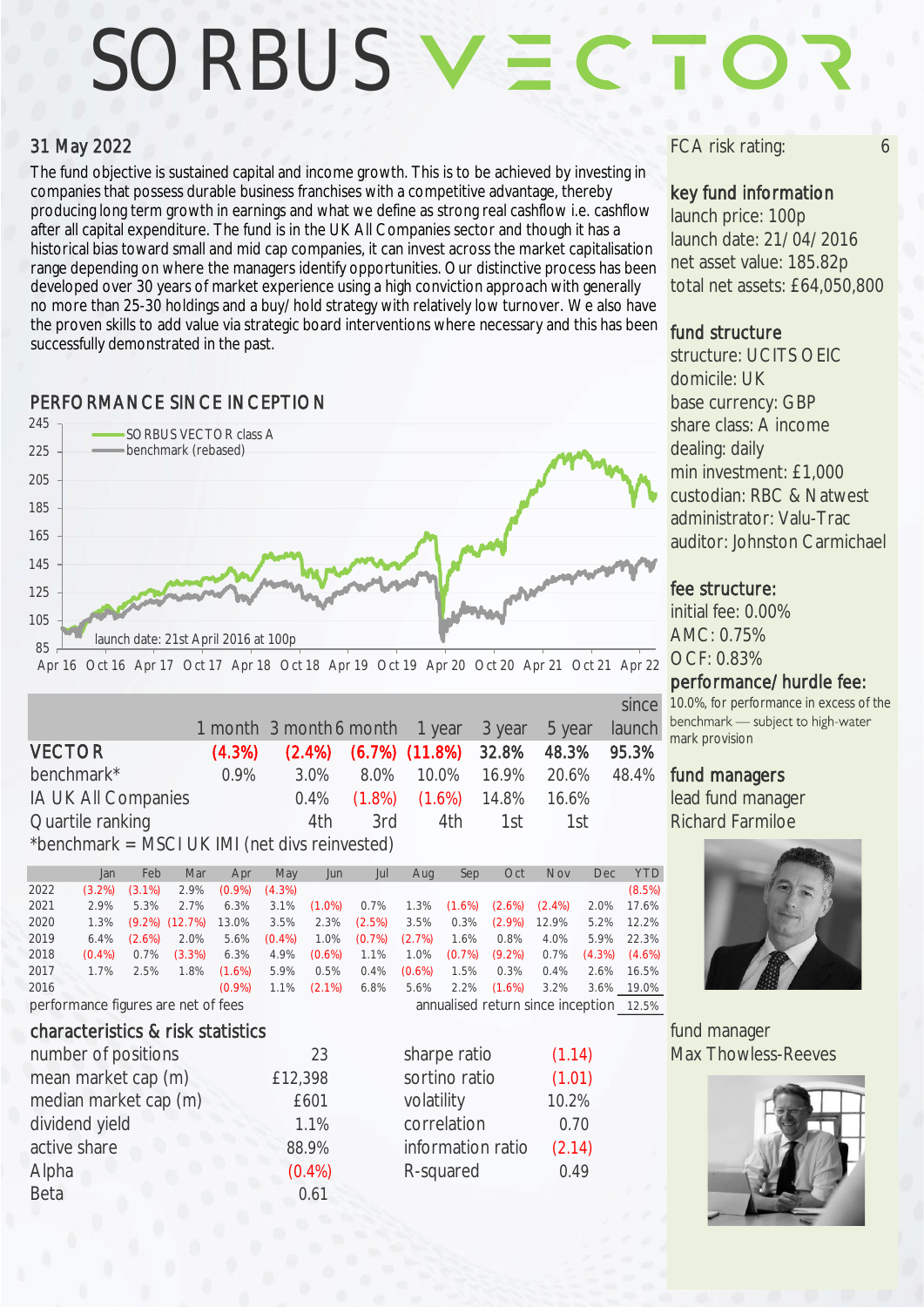# SORBUS V =

### 31 May 2022

The fund objective is sustained capital and income growth. This is to be achieved by investing in companies that possess durable business franchises with a competitive advantage, thereby producing long term growth in earnings and what we define as strong real cashflow i.e. cashflow after all capital expenditure. The fund is in the UK All Companies sector and though it has a historical bias toward small and mid cap companies, it can invest across the market capitalisation range depending on where the managers identify opportunities. Our distinctive process has been developed over 30 years of market experience using a high conviction approach with generally no more than 25-30 holdings and a buy/hold strategy with relatively low turnover. We also have the proven skills to add value via strategic board interventions where necessary and this has been successfully demonstrated in the past.

# **PERFORMANCE SINCE INCEPTION base currency: GBP**



|                                                |           |                                       |  |                                               |  |        | since  |
|------------------------------------------------|-----------|---------------------------------------|--|-----------------------------------------------|--|--------|--------|
|                                                |           | 1 month 3 month 6 month 1 year 3 year |  |                                               |  | 5 year | launch |
| <b>VECTOR</b>                                  | $(4.3\%)$ |                                       |  | $(2.4\%)$ $(6.7\%)$ $(11.8\%)$ 32.8% 48.3%    |  |        | 95.3%  |
| benchmark*                                     | $0.9\%$   | $3.0\%$                               |  | 8.0% 10.0% 16.9% 20.6%                        |  |        | 48.4%  |
| IA UK All Companies                            |           |                                       |  | $0.4\%$ $(1.8\%)$ $(1.6\%)$ $14.8\%$ $16.6\%$ |  |        |        |
| Quartile ranking                               |           | 4th                                   |  | 3rd 4th 1st                                   |  | 1st    |        |
| *benchmark = MSCI UK IMI (net divs reinvested) |           |                                       |  |                                               |  |        |        |

|                                     | Jan       | Feb       | Mar                  | Apr                                     | May       | Jun       | Jul       | Aug       | Sep       | Oct       | <b>Nov</b> | Dec       | YTD.      |
|-------------------------------------|-----------|-----------|----------------------|-----------------------------------------|-----------|-----------|-----------|-----------|-----------|-----------|------------|-----------|-----------|
| 2022                                | $(3.2\%)$ | $(3.1\%)$ | 2.9%                 | $(0.9\%)$                               | $(4.3\%)$ |           |           |           |           |           |            |           | (8.5%)    |
| 2021                                | 2.9%      | 5.3%      | 2.7%                 | 6.3%                                    | 3.1%      | $(1.0\%)$ | 0.7%      | 1.3%      | $(1.6\%)$ | $(2.6\%)$ | $(2.4\%)$  | 2.0%      | 17.6%     |
| 2020                                | 1.3%      |           | $(9.2\%)$ $(12.7\%)$ | 13.0%                                   | 3.5%      | 2.3%      | (2.5%)    | 3.5%      | 0.3%      | $(2.9\%)$ | 12.9%      | 5.2%      | 12.2%     |
| 2019                                | 6.4%      | $(2.6\%)$ | 2.0%                 | 5.6%                                    | $(0.4\%)$ | 1.0%      | $(0.7\%)$ | (2.7%)    | 1.6%      | 0.8%      | 4.0%       | 5.9%      | 22.3%     |
| 2018                                | $(0.4\%)$ | 0.7%      | $(3.3\%)$            | 6.3%                                    | 4.9%      | $(0.6\%)$ | 1.1%      | 1.0%      | $(0.7\%)$ | $(9.2\%)$ | 0.7%       | $(4.3\%)$ | $(4.6\%)$ |
| 2017                                | 1.7%      | 2.5%      | 1.8%                 | $(1.6\%)$                               | 5.9%      | 0.5%      | 0.4%      | $(0.6\%)$ | 1.5%      | 0.3%      | $0.4\%$    | 2.6%      | 16.5%     |
| 2016                                |           |           |                      | $(0.9\%)$                               | 1.1%      | $(2.1\%)$ | 6.8%      | 5.6%      | 2.2%      | $(1.6\%)$ | 3.2%       | 3.6%      | 19.0%     |
| performance figures are net of fees |           |           |                      | annualised return since inception 12.5% |           |           |           |           |           |           |            |           |           |

#### characteristics & risk statistics **fund manager** characteristics **fund manager**

| 23        | sharpe ratio      | (1.14) |
|-----------|-------------------|--------|
| £12,398   | sortino ratio     | (1.01) |
| £601      | volatility        | 10.2%  |
| 1.1%      | correlation       | 0.70   |
| 88.9%     | information ratio | (2.14) |
| $(0.4\%)$ | R-squared         | 0.49   |
| 0.61      |                   |        |
|           |                   |        |

| sharpe ratio      | (1.14) |
|-------------------|--------|
| sortino ratio     | (1.01) |
| volatility        | 10.2%  |
| correlation       | 0.70   |
| information ratio | (2.14) |
| R-squared         | 0.49   |

#### FCA risk rating:

#### key fund information

launch price: 100p launch date: 21/04/2016 net asset value: 185.82p total net assets: £64,050,800

#### fund structure

structure: UCITS OEIC domicile: UK share class: A income dealing: daily min investment: £1,000 custodian: RBC & Natwest administrator: Valu-Trac auditor: Johnston Carmichael

#### fee structure:

initial fee: 0.00% AMC: 0.75% OCF: 0.83%

#### performance/hurdle fee:

10.0%, for performance in excess of the<br>benchmark — subject to high-water mark provision

#### fund managers

lead fund manager Richard Farmiloe



Max Thowless-Reeves